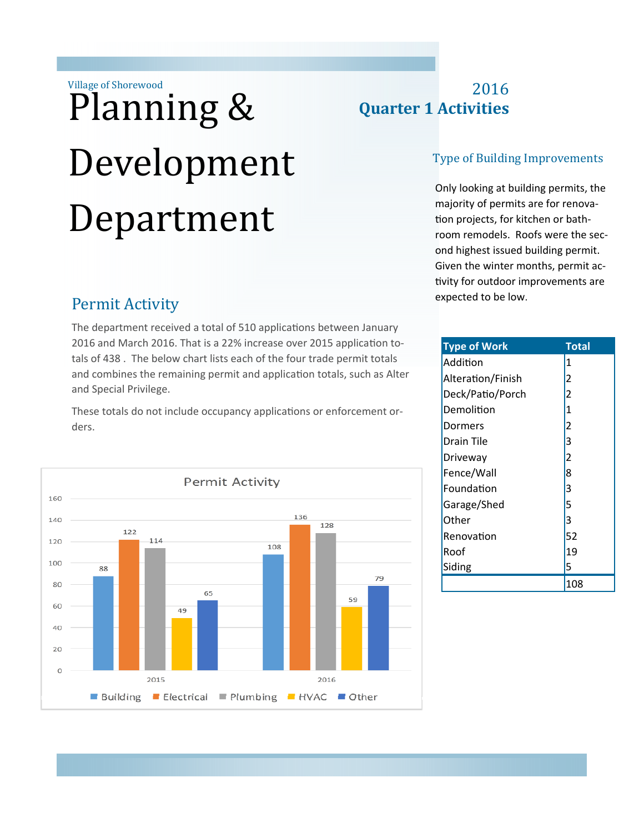Village of Shorewood

# Planning & Development Department

# Permit Activity

The department received a total of 510 applications between January 2016 and March 2016. That is a 22% increase over 2015 application totals of 438 . The below chart lists each of the four trade permit totals and combines the remaining permit and application totals, such as Alter and Special Privilege.

These totals do not include occupancy applications or enforcement orders.



# 2016 **Quarter 1 Activities**

#### Type of Building Improvements

Only looking at building permits, the majority of permits are for renovation projects, for kitchen or bathroom remodels. Roofs were the second highest issued building permit. Given the winter months, permit activity for outdoor improvements are expected to be low.

| <b>Type of Work</b> | <b>Total</b>                               |
|---------------------|--------------------------------------------|
| Addition            | 1                                          |
| Alteration/Finish   | $\overline{2}$                             |
| Deck/Patio/Porch    | $\overline{c}$                             |
| Demolition          | $\overline{1}$                             |
| Dormers             | $\begin{array}{c} 2 \\ 3 \\ 2 \end{array}$ |
| Drain Tile          |                                            |
| Driveway            |                                            |
| Fence/Wall          | $\overline{8}$                             |
| Foundation          | 3                                          |
| Garage/Shed         | 5<br>3                                     |
| Other               |                                            |
| Renovation          | 52                                         |
| Roof                | 19                                         |
| Siding              | 5                                          |
|                     | 108                                        |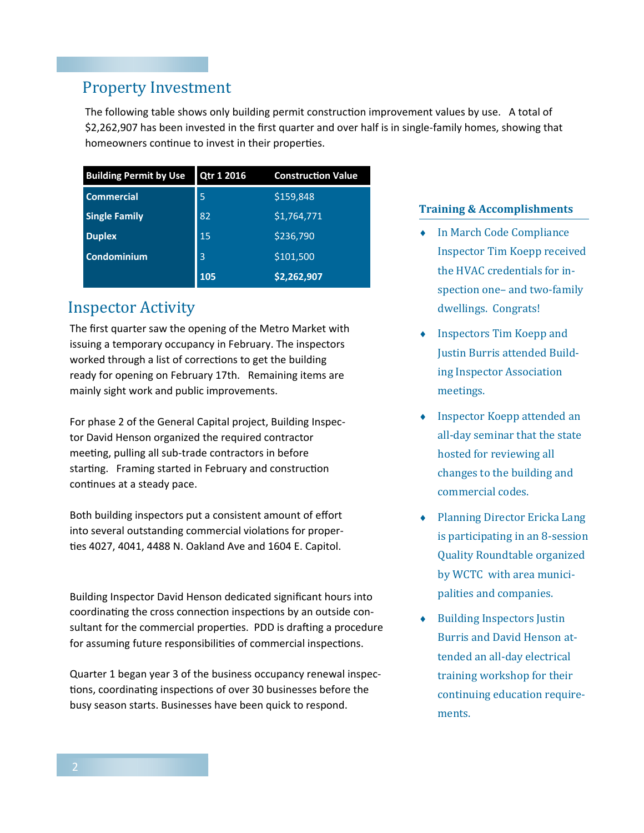## Property Investment

The following table shows only building permit construction improvement values by use. A total of \$2,262,907 has been invested in the first quarter and over half is in single-family homes, showing that homeowners continue to invest in their properties.

| <b>Building Permit by Use</b> | Qtr 1 2016 | <b>Construction Value</b> |
|-------------------------------|------------|---------------------------|
| <b>Commercial</b>             | 5          | \$159,848                 |
| <b>Single Family</b>          | 82         | \$1,764,771               |
| <b>Duplex</b>                 | 15         | \$236,790                 |
| Condominium                   | 3          | \$101,500                 |
|                               | 105        | \$2,262,907               |

## **Inspector Activity**

The first quarter saw the opening of the Metro Market with issuing a temporary occupancy in February. The inspectors worked through a list of corrections to get the building ready for opening on February 17th. Remaining items are mainly sight work and public improvements.

For phase 2 of the General Capital project, Building Inspector David Henson organized the required contractor meeting, pulling all sub-trade contractors in before starting. Framing started in February and construction continues at a steady pace.

Both building inspectors put a consistent amount of effort into several outstanding commercial violations for properties 4027, 4041, 4488 N. Oakland Ave and 1604 E. Capitol.

Building Inspector David Henson dedicated significant hours into coordinating the cross connection inspections by an outside consultant for the commercial properties. PDD is drafting a procedure for assuming future responsibilities of commercial inspections.

Quarter 1 began year 3 of the business occupancy renewal inspections, coordinating inspections of over 30 businesses before the busy season starts. Businesses have been quick to respond.

#### **Training & Accomplishments**

- ◆ In March Code Compliance Inspector Tim Koepp received the HVAC credentials for inspection one- and two-family dwellings. Congrats!
- $\bullet$  Inspectors Tim Koepp and Justin Burris attended Building Inspector Association meetings.
- $\bullet$  Inspector Koepp attended an all-day seminar that the state hosted for reviewing all changes to the building and commercial codes.
- Planning Director Ericka Lang is participating in an 8-session Quality Roundtable organized by WCTC with area municipalities and companies.
- **Building Inspectors Justin** Burris and David Henson attended an all-day electrical training workshop for their continuing education requirements.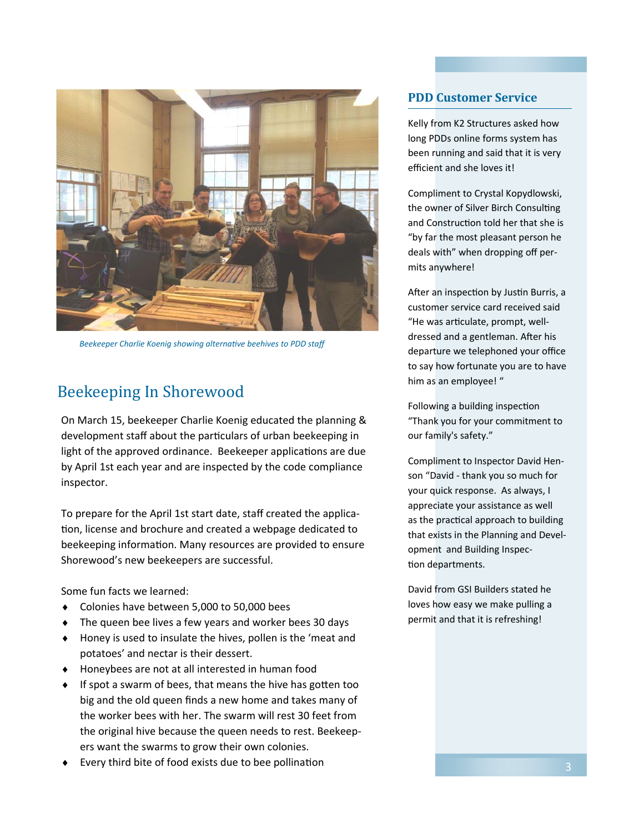

*Beekeeper Charlie Koenig showing alternative beehives to PDD staff* 

## Beekeeping In Shorewood

On March 15, beekeeper Charlie Koenig educated the planning & development staff about the particulars of urban beekeeping in light of the approved ordinance. Beekeeper applications are due by April 1st each year and are inspected by the code compliance inspector.

To prepare for the April 1st start date, staff created the application, license and brochure and created a webpage dedicated to beekeeping information. Many resources are provided to ensure Shorewood's new beekeepers are successful.

Some fun facts we learned:

- Colonies have between 5,000 to 50,000 bees
- ◆ The queen bee lives a few years and worker bees 30 days
- Honey is used to insulate the hives, pollen is the 'meat and potatoes' and nectar is their dessert.
- Honeybees are not at all interested in human food
- $\bullet$  If spot a swarm of bees, that means the hive has gotten too big and the old queen finds a new home and takes many of the worker bees with her. The swarm will rest 30 feet from the original hive because the queen needs to rest. Beekeepers want the swarms to grow their own colonies.
- Every third bite of food exists due to bee pollination

#### **PDD Customer Service**

Kelly from K2 Structures asked how long PDDs online forms system has been running and said that it is very efficient and she loves it!

Compliment to Crystal Kopydlowski, the owner of Silver Birch Consulting and Construction told her that she is "by far the most pleasant person he deals with" when dropping off permits anywhere!

After an inspection by Justin Burris, a customer service card received said "He was articulate, prompt, welldressed and a gentleman. After his departure we telephoned your office to say how fortunate you are to have him as an employee! "

Following a building inspection "Thank you for your commitment to our family's safety."

Compliment to Inspector David Henson "David - thank you so much for your quick response. As always, I appreciate your assistance as well as the practical approach to building that exists in the Planning and Development and Building Inspection departments.

David from GSI Builders stated he loves how easy we make pulling a permit and that it is refreshing!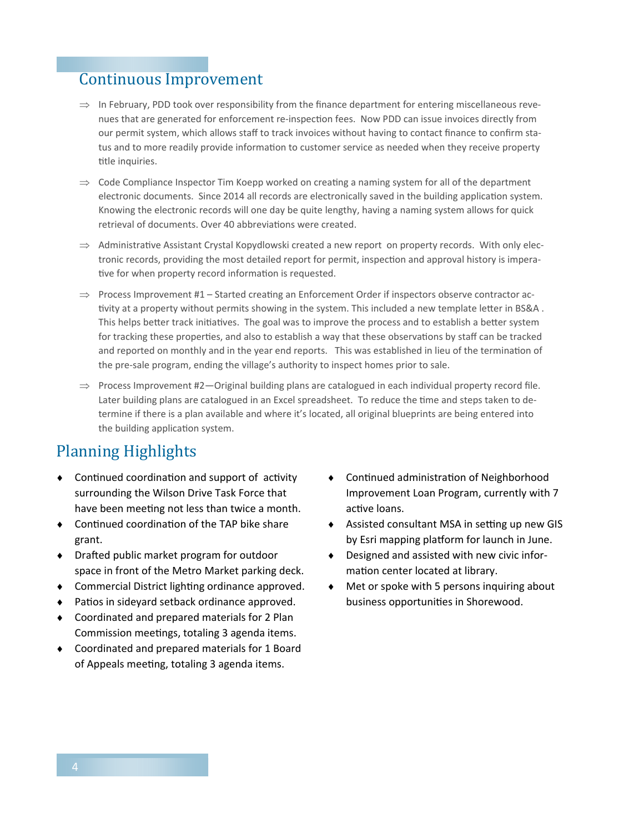## Continuous Improvement

- $\Rightarrow$  In February, PDD took over responsibility from the finance department for entering miscellaneous revenues that are generated for enforcement re-inspection fees. Now PDD can issue invoices directly from our permit system, which allows staff to track invoices without having to contact finance to confirm status and to more readily provide information to customer service as needed when they receive property title inquiries.
- $\Rightarrow$  Code Compliance Inspector Tim Koepp worked on creating a naming system for all of the department electronic documents. Since 2014 all records are electronically saved in the building application system. Knowing the electronic records will one day be quite lengthy, having a naming system allows for quick retrieval of documents. Over 40 abbreviations were created.
- $\Rightarrow$  Administrative Assistant Crystal Kopydlowski created a new report on property records. With only electronic records, providing the most detailed report for permit, inspection and approval history is imperative for when property record information is requested.
- $\Rightarrow$  Process Improvement #1 Started creating an Enforcement Order if inspectors observe contractor activity at a property without permits showing in the system. This included a new template letter in BS&A. This helps better track initiatives. The goal was to improve the process and to establish a better system for tracking these properties, and also to establish a way that these observations by staff can be tracked and reported on monthly and in the year end reports. This was established in lieu of the termination of the pre-sale program, ending the village's authority to inspect homes prior to sale.
- $\Rightarrow$  Process Improvement #2—Original building plans are catalogued in each individual property record file. Later building plans are catalogued in an Excel spreadsheet. To reduce the time and steps taken to determine if there is a plan available and where it's located, all original blueprints are being entered into the building application system.

# Planning Highlights

- $\bullet$  Continued coordination and support of activity surrounding the Wilson Drive Task Force that have been meeting not less than twice a month.
- Continued coordination of the TAP bike share grant.
- $\bullet$  Drafted public market program for outdoor space in front of the Metro Market parking deck.
- ◆ Commercial District lighting ordinance approved.
- Patios in sideyard setback ordinance approved.
- Coordinated and prepared materials for 2 Plan Commission meetings, totaling 3 agenda items.
- Coordinated and prepared materials for 1 Board of Appeals meeting, totaling 3 agenda items.
- ◆ Continued administration of Neighborhood Improvement Loan Program, currently with 7 active loans.
- ◆ Assisted consultant MSA in setting up new GIS by Esri mapping platform for launch in June.
- Designed and assisted with new civic information center located at library.
- Met or spoke with 5 persons inquiring about business opportunities in Shorewood.